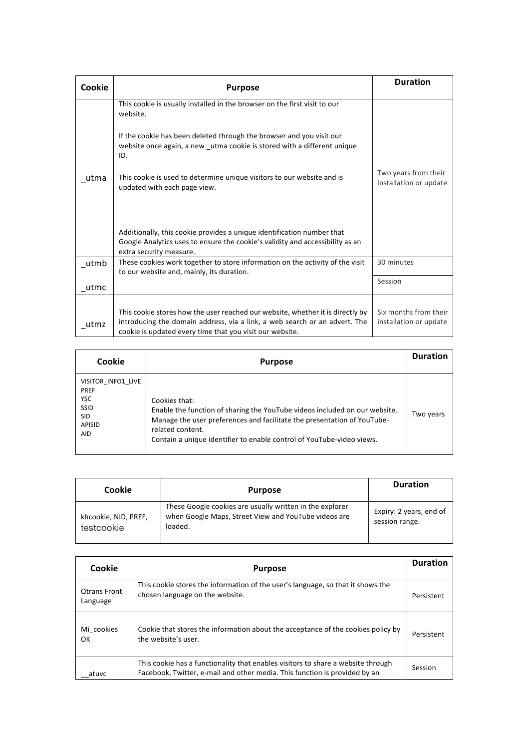| Cookie | <b>Purpose</b>                                                                                                                                                                                                           | <b>Duration</b>                                 |
|--------|--------------------------------------------------------------------------------------------------------------------------------------------------------------------------------------------------------------------------|-------------------------------------------------|
|        | This cookie is usually installed in the browser on the first visit to our<br>website.                                                                                                                                    |                                                 |
|        | If the cookie has been deleted through the browser and you visit our<br>website once again, a new _utma cookie is stored with a different unique<br>ID.                                                                  |                                                 |
| utma   | This cookie is used to determine unique visitors to our website and is<br>updated with each page view.                                                                                                                   | Two years from their<br>installation or update  |
|        | Additionally, this cookie provides a unique identification number that<br>Google Analytics uses to ensure the cookie's validity and accessibility as an<br>extra security measure.                                       |                                                 |
| utmb   | These cookies work together to store information on the activity of the visit<br>to our website and, mainly, its duration.                                                                                               | 30 minutes                                      |
| utmc   |                                                                                                                                                                                                                          | Session                                         |
| utmz   | This cookie stores how the user reached our website, whether it is directly by<br>introducing the domain address, via a link, a web search or an advert. The<br>cookie is updated every time that you visit our website. | Six months from their<br>installation or update |

| Cookie                                                                                         | <b>Purpose</b>                                                                                                                                                                                                                                                      | <b>Duration</b> |
|------------------------------------------------------------------------------------------------|---------------------------------------------------------------------------------------------------------------------------------------------------------------------------------------------------------------------------------------------------------------------|-----------------|
| VISITOR INFO1 LIVE<br><b>PREF</b><br><b>YSC</b><br><b>SSID</b><br>SID.<br><b>APISID</b><br>AID | Cookies that:<br>Enable the function of sharing the YouTube videos included on our website.<br>Manage the user preferences and facilitate the presentation of YouTube-<br>related content.<br>Contain a unique identifier to enable control of YouTube-video views. | Two years       |

| Cookie                             | <b>Purpose</b>                                                                                                              | <b>Duration</b>                           |
|------------------------------------|-----------------------------------------------------------------------------------------------------------------------------|-------------------------------------------|
| khcookie, NID, PREF,<br>testcookie | These Google cookies are usually written in the explorer<br>when Google Maps, Street View and YouTube videos are<br>loaded. | Expiry: 2 years, end of<br>session range. |

| Cookie                          | <b>Purpose</b>                                                                                                                                                 | <b>Duration</b> |
|---------------------------------|----------------------------------------------------------------------------------------------------------------------------------------------------------------|-----------------|
| <b>Otrans Front</b><br>Language | This cookie stores the information of the user's language, so that it shows the<br>chosen language on the website.                                             | Persistent      |
| Mi cookies<br>OK                | Cookie that stores the information about the acceptance of the cookies policy by<br>the website's user.                                                        | Persistent      |
| atuvc                           | This cookie has a functionality that enables visitors to share a website through<br>Facebook, Twitter, e-mail and other media. This function is provided by an | Session         |